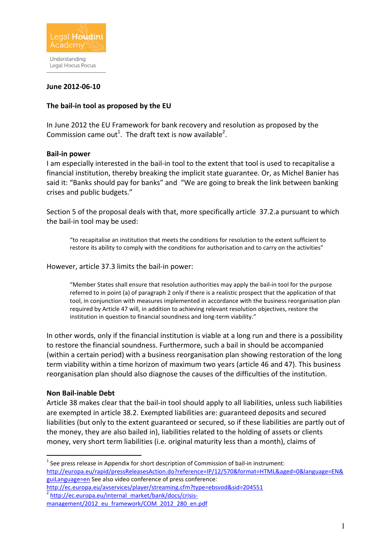

Legal Hocus Pocus

### **June 2012-06-10**

### **The bail-in tool as proposed by the EU**

In June 2012 the EU Framework for bank recovery and resolution as proposed by the Commission came out<sup>1</sup>. The draft text is now available<sup>2</sup>.

#### **Bail-in power**

I am especially interested in the bail-in tool to the extent that tool is used to recapitalise a financial institution, thereby breaking the implicit state guarantee. Or, as Michel Banier has said it: "Banks should pay for banks" and "We are going to break the link between banking crises and public budgets."

Section 5 of the proposal deals with that, more specifically article 37.2.a pursuant to which the bail-in tool may be used:

"to recapitalise an institution that meets the conditions for resolution to the extent sufficient to restore its ability to comply with the conditions for authorisation and to carry on the activities"

#### However, article 37.3 limits the bail-in power:

"Member States shall ensure that resolution authorities may apply the bail-in tool for the purpose referred to in point (a) of paragraph 2 only if there is a realistic prospect that the application of that tool, in conjunction with measures implemented in accordance with the business reorganisation plan required by Article 47 will, in addition to achieving relevant resolution objectives, restore the institution in question to financial soundness and long-term viability."

In other words, only if the financial institution is viable at a long run and there is a possibility to restore the financial soundness. Furthermore, such a bail in should be accompanied (within a certain period) with a business reorganisation plan showing restoration of the long term viability within a time horizon of maximum two years (article 46 and 47). This business reorganisation plan should also diagnose the causes of the difficulties of the institution.

#### **Non Bail-inable Debt**

l.

Article 38 makes clear that the bail-in tool should apply to all liabilities, unless such liabilities are exempted in article 38.2. Exempted liabilities are: guaranteed deposits and secured liabilities (but only to the extent guaranteed or secured, so if these liabilities are partly out of the money, they are also bailed in), liabilities related to the holding of assets or clients money, very short term liabilities (i.e. original maturity less than a month), claims of

 $<sup>1</sup>$  See press release in Appendix for short description of Commission of bail-in instrument:</sup> http://europa.eu/rapid/pressReleasesAction.do?reference=IP/12/570&format=HTML&aged=0&language=EN& guiLanguage=en See also video conference of press conference:

http://ec.europa.eu/avservices/player/streaming.cfm?type=ebsvod&sid=204551 <sup>2</sup> http://ec.europa.eu/internal\_market/bank/docs/crisis-

management/2012\_eu\_framework/COM\_2012\_280\_en.pdf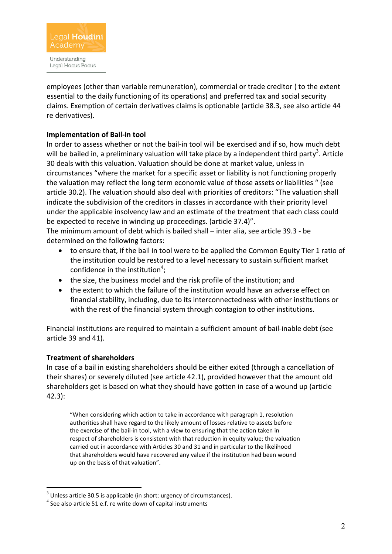

employees (other than variable remuneration), commercial or trade creditor ( to the extent essential to the daily functioning of its operations) and preferred tax and social security claims. Exemption of certain derivatives claims is optionable (article 38.3, see also article 44 re derivatives).

# **Implementation of Bail-in tool**

In order to assess whether or not the bail-in tool will be exercised and if so, how much debt will be bailed in, a preliminary valuation will take place by a independent third party<sup>3</sup>. Article 30 deals with this valuation. Valuation should be done at market value, unless in circumstances "where the market for a specific asset or liability is not functioning properly the valuation may reflect the long term economic value of those assets or liabilities " (see article 30.2). The valuation should also deal with priorities of creditors: "The valuation shall indicate the subdivision of the creditors in classes in accordance with their priority level under the applicable insolvency law and an estimate of the treatment that each class could be expected to receive in winding up proceedings. (article 37.4)".

The minimum amount of debt which is bailed shall – inter alia, see article 39.3 - be determined on the following factors:

- to ensure that, if the bail in tool were to be applied the Common Equity Tier 1 ratio of the institution could be restored to a level necessary to sustain sufficient market confidence in the institution<sup>4</sup>;
- the size, the business model and the risk profile of the institution; and
- the extent to which the failure of the institution would have an adverse effect on financial stability, including, due to its interconnectedness with other institutions or with the rest of the financial system through contagion to other institutions.

Financial institutions are required to maintain a sufficient amount of bail-inable debt (see article 39 and 41).

## **Treatment of shareholders**

l.

In case of a bail in existing shareholders should be either exited (through a cancellation of their shares) or severely diluted (see article 42.1), provided however that the amount old shareholders get is based on what they should have gotten in case of a wound up (article 42.3):

"When considering which action to take in accordance with paragraph 1, resolution authorities shall have regard to the likely amount of losses relative to assets before the exercise of the bail-in tool, with a view to ensuring that the action taken in respect of shareholders is consistent with that reduction in equity value; the valuation carried out in accordance with Articles 30 and 31 and in particular to the likelihood that shareholders would have recovered any value if the institution had been wound up on the basis of that valuation".

 $3$  Unless article 30.5 is applicable (in short: urgency of circumstances).

<sup>4</sup> See also article 51 e.f. re write down of capital instruments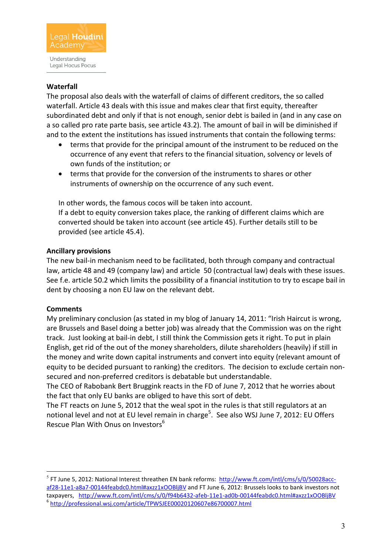

# **Waterfall**

The proposal also deals with the waterfall of claims of different creditors, the so called waterfall. Article 43 deals with this issue and makes clear that first equity, thereafter subordinated debt and only if that is not enough, senior debt is bailed in (and in any case on a so called pro rate parte basis, see article 43.2). The amount of bail in will be diminished if and to the extent the institutions has issued instruments that contain the following terms:

- terms that provide for the principal amount of the instrument to be reduced on the occurrence of any event that refers to the financial situation, solvency or levels of own funds of the institution; or
- terms that provide for the conversion of the instruments to shares or other instruments of ownership on the occurrence of any such event.

In other words, the famous cocos will be taken into account. If a debt to equity conversion takes place, the ranking of different claims which are converted should be taken into account (see article 45). Further details still to be

## **Ancillary provisions**

provided (see article 45.4).

The new bail-in mechanism need to be facilitated, both through company and contractual law, article 48 and 49 (company law) and article 50 (contractual law) deals with these issues. See f.e. article 50.2 which limits the possibility of a financial institution to try to escape bail in dent by choosing a non EU law on the relevant debt.

## **Comments**

 $\overline{a}$ 

My preliminary conclusion (as stated in my blog of January 14, 2011: "Irish Haircut is wrong, are Brussels and Basel doing a better job) was already that the Commission was on the right track. Just looking at bail-in debt, I still think the Commission gets it right. To put in plain English, get rid of the out of the money shareholders, dilute shareholders (heavily) if still in the money and write down capital instruments and convert into equity (relevant amount of equity to be decided pursuant to ranking) the creditors. The decision to exclude certain nonsecured and non-preferred creditors is debatable but understandable.

The CEO of Rabobank Bert Bruggink reacts in the FD of June 7, 2012 that he worries about the fact that only EU banks are obliged to have this sort of debt.

The FT reacts on June 5, 2012 that the weal spot in the rules is that still regulators at an notional level and not at EU level remain in charge<sup>5</sup>. See also WSJ June 7, 2012: EU Offers Rescue Plan With Onus on Investors<sup>6</sup>

<sup>&</sup>lt;sup>5</sup> FT June 5, 2012: National Interest threathen EN bank reforms: http://www.ft.com/intl/cms/s/0/50028accaf28-11e1-a8a7-00144feabdc0.html#axzz1xOOBljBV and FT June 6, 2012: Brussels looks to bank investors not taxpayers, http://www.ft.com/intl/cms/s/0/f94b6432-afeb-11e1-ad0b-00144feabdc0.html#axzz1xOOBljBV 6 http://professional.wsj.com/article/TPWSJEE00020120607e86700007.html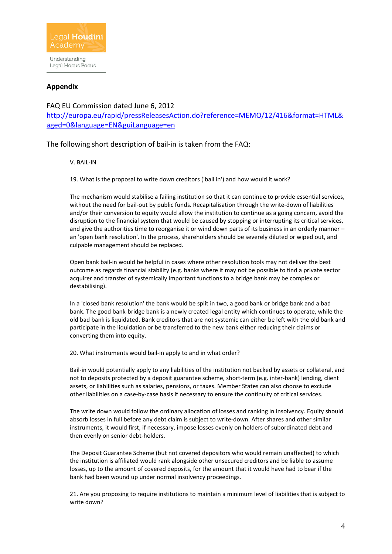

### **Appendix**

FAQ EU Commission dated June 6, 2012 http://europa.eu/rapid/pressReleasesAction.do?reference=MEMO/12/416&format=HTML& aged=0&language=EN&guiLanguage=en

The following short description of bail-in is taken from the FAQ:

V. BAIL-IN

19. What is the proposal to write down creditors ('bail in') and how would it work?

The mechanism would stabilise a failing institution so that it can continue to provide essential services, without the need for bail-out by public funds. Recapitalisation through the write-down of liabilities and/or their conversion to equity would allow the institution to continue as a going concern, avoid the disruption to the financial system that would be caused by stopping or interrupting its critical services, and give the authorities time to reorganise it or wind down parts of its business in an orderly manner – an 'open bank resolution'. In the process, shareholders should be severely diluted or wiped out, and culpable management should be replaced.

Open bank bail-in would be helpful in cases where other resolution tools may not deliver the best outcome as regards financial stability (e.g. banks where it may not be possible to find a private sector acquirer and transfer of systemically important functions to a bridge bank may be complex or destabilising).

In a 'closed bank resolution' the bank would be split in two, a good bank or bridge bank and a bad bank. The good bank-bridge bank is a newly created legal entity which continues to operate, while the old bad bank is liquidated. Bank creditors that are not systemic can either be left with the old bank and participate in the liquidation or be transferred to the new bank either reducing their claims or converting them into equity.

20. What instruments would bail-in apply to and in what order?

Bail-in would potentially apply to any liabilities of the institution not backed by assets or collateral, and not to deposits protected by a deposit guarantee scheme, short-term (e.g. inter-bank) lending, client assets, or liabilities such as salaries, pensions, or taxes. Member States can also choose to exclude other liabilities on a case-by-case basis if necessary to ensure the continuity of critical services.

The write down would follow the ordinary allocation of losses and ranking in insolvency. Equity should absorb losses in full before any debt claim is subject to write-down. After shares and other similar instruments, it would first, if necessary, impose losses evenly on holders of subordinated debt and then evenly on senior debt-holders.

The Deposit Guarantee Scheme (but not covered depositors who would remain unaffected) to which the institution is affiliated would rank alongside other unsecured creditors and be liable to assume losses, up to the amount of covered deposits, for the amount that it would have had to bear if the bank had been wound up under normal insolvency proceedings.

21. Are you proposing to require institutions to maintain a minimum level of liabilities that is subject to write down?